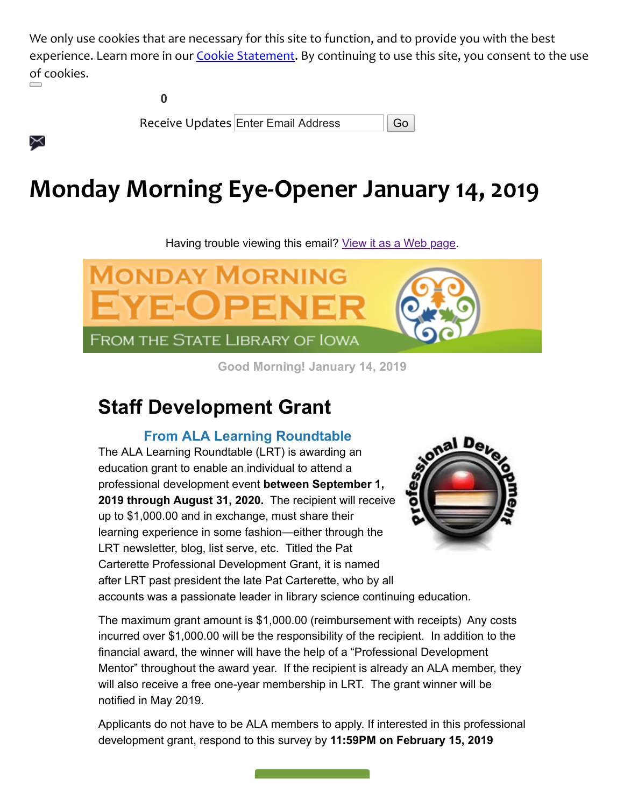We only use cookies that are necessary for this site to function, and to provide you with the best experience. Learn more in our [Cookie Statement](https://subscriberhelp.granicus.com/s/article/Cookies). By continuing to use this site, you consent to the use of cookies.

| Receive Updates Enter Email Address | $\overline{\mathsf{G}}$ |
|-------------------------------------|-------------------------|

# **Monday Morning Eye-Opener January 14, 2019**

Having trouble viewing this email? [View it as a Web page.](https://content.govdelivery.com/accounts/IACIO/bulletins/227fc2b)



**Good Morning! January 14, 2019**

## **Staff Development Grant**

╳

**From ALA Learning Roundtable**

The ALA Learning Roundtable (LRT) is awarding an education grant to enable an individual to attend a professional development event **between September 1, 2019 through August 31, 2020.** The recipient will receive up to \$1,000.00 and in exchange, must share their learning experience in some fashion—either through the LRT newsletter, blog, list serve, etc. Titled the Pat Carterette Professional Development Grant, it is named after LRT past president the late Pat Carterette, who by all



accounts was a passionate leader in library science continuing education.

The maximum grant amount is \$1,000.00 (reimbursement with receipts) Any costs incurred over \$1,000.00 will be the responsibility of the recipient. In addition to the financial award, the winner will have the help of a "Professional Development Mentor" throughout the award year. If the recipient is already an ALA member, they will also receive a free one-year membership in LRT. The grant winner will be notified in May 2019.

Applicants do not have to be ALA members to apply. If interested in this professional development grant, respond to this survey by **11:59PM on February 15, 2019**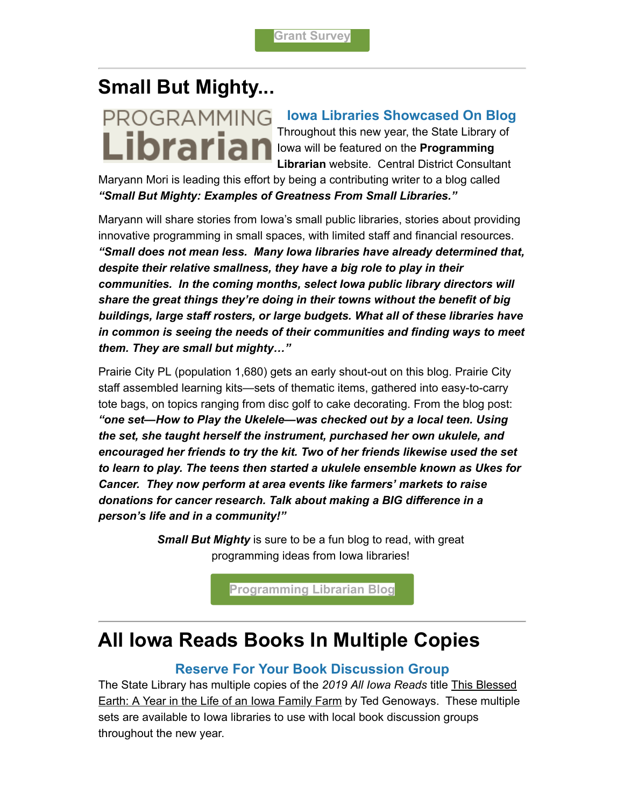## **Small But Mighty...**



#### **Iowa Libraries Showcased On Blog** Throughout this new year, the State Library of

**Librarian** lowa will be featured on the Programming **Librarian** website. Central District Consultant

Maryann Mori is leading this effort by being a contributing writer to a blog called *"Small But Mighty: Examples of Greatness From Small Libraries."* 

Maryann will share stories from Iowa's small public libraries, stories about providing innovative programming in small spaces, with limited staff and financial resources. *"Small does not mean less. Many Iowa libraries have already determined that, despite their relative smallness, they have a big role to play in their communities. In the coming months, select Iowa public library directors will share the great things they're doing in their towns without the benefit of big buildings, large staff rosters, or large budgets. What all of these libraries have in common is seeing the needs of their communities and finding ways to meet them. They are small but mighty…"*

Prairie City PL (population 1,680) gets an early shout-out on this blog. Prairie City staff assembled learning kits—sets of thematic items, gathered into easy-to-carry tote bags, on topics ranging from disc golf to cake decorating. From the blog post: *"one set—How to Play the Ukelele—was checked out by a local teen. Using the set, she taught herself the instrument, purchased her own ukulele, and encouraged her friends to try the kit. Two of her friends likewise used the set to learn to play. The teens then started a ukulele ensemble known as Ukes for Cancer. They now perform at area events like farmers' markets to raise donations for cancer research. Talk about making a BIG difference in a person's life and in a community!"*

> *Small But Mighty* is sure to be a fun blog to read, with great programming ideas from Iowa libraries!

> > **[Programming Librarian Blog](http://www.programminglibrarian.org/blog/small-mighty-examples-greatness-small-libraries?utm_medium=email&utm_source=govdelivery)**

### **All Iowa Reads Books In Multiple Copies**

#### **Reserve For Your Book Discussion Group**

The State Library has multiple copies of the *2019 All Iowa Reads* title This Blessed Earth: A Year in the Life of an Iowa Family Farm by Ted Genoways. These multiple sets are available to Iowa libraries to use with local book discussion groups throughout the new year.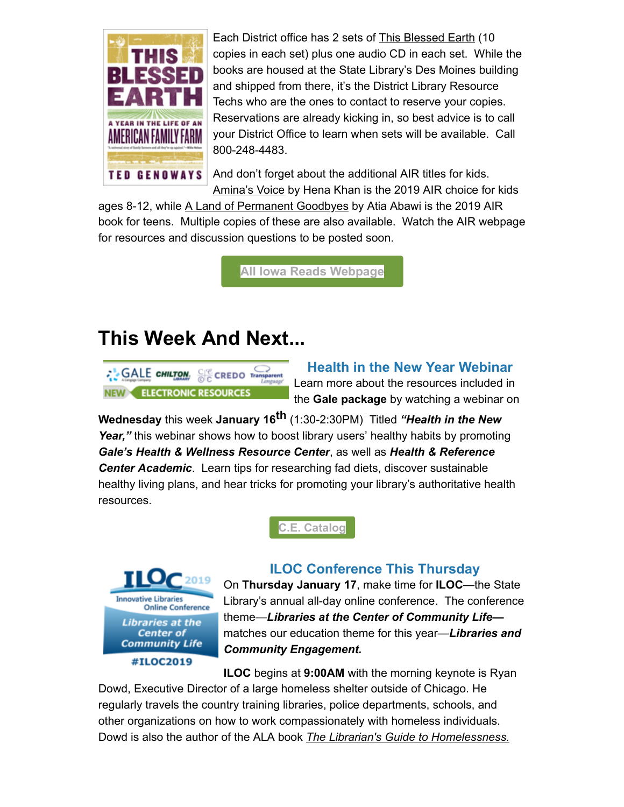

Each District office has 2 sets of **This Blessed Earth** (10 copies in each set) plus one audio CD in each set. While the books are housed at the State Library's Des Moines building and shipped from there, it's the District Library Resource Techs who are the ones to contact to reserve your copies. Reservations are already kicking in, so best advice is to call your District Office to learn when sets will be available. Call 800-248-4483.

And don't forget about the additional AIR titles for kids.

Amina's Voice by Hena Khan is the 2019 AIR choice for kids ages 8-12, while A Land of Permanent Goodbyes by Atia Abawi is the 2019 AIR book for teens. Multiple copies of these are also available. Watch the AIR webpage for resources and discussion questions to be posted soon.

**[All Iowa Reads Webpage](https://www.statelibraryofiowa.org/archive/2018/oct/air?utm_medium=email&utm_source=govdelivery)**

### **This Week And Next...**



**Health in the New Year Webinar** Learn more about the resources included in the **Gale package** by watching a webinar on

**Wednesday** this week **January 16th** (1:30-2:30PM) Titled *"Health in the New* Year," this webinar shows how to boost library users' healthy habits by promoting *Gale's Health & Wellness Resource Center*, as well as *Health & Reference Center Academic*. Learn tips for researching fad diets, discover sustainable healthy living plans, and hear tricks for promoting your library's authoritative health resources.





#### **ILOC Conference This Thursday**

On **Thursday January 17**, make time for **ILOC**—the State Library's annual all-day online conference. The conference theme—*Libraries at the Center of Community Life* matches our education theme for this year—*Libraries and Community Engagement.*

**ILOC** begins at **9:00AM** with the morning keynote is Ryan Dowd, Executive Director of a large homeless shelter outside of Chicago. He regularly travels the country training libraries, police departments, schools, and other organizations on how to work compassionately with homeless individuals. Dowd is also the author of the ALA book *The Librarian's Guide to Homelessness.*